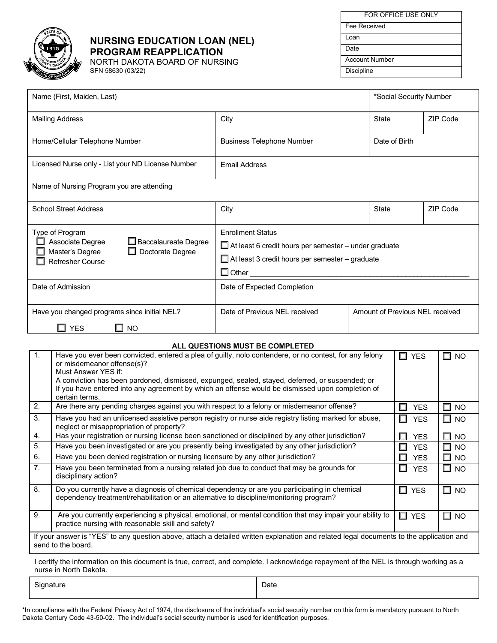

## **NURSING EDUCATION LOAN (NEL) PROGRAM REAPPLICATION**

NORTH DAKOTA BOARD OF NURSING SFN 58630 (03/22)

| FOR OFFICE USE ONLY   |
|-----------------------|
| Fee Received          |
| Loan                  |
| Date                  |
| <b>Account Number</b> |
| <b>Discipline</b>     |

| Name (First, Maiden, Last)                                                                                                           |                                                                                                                                                                       | *Social Security Number |                                 |          |  |
|--------------------------------------------------------------------------------------------------------------------------------------|-----------------------------------------------------------------------------------------------------------------------------------------------------------------------|-------------------------|---------------------------------|----------|--|
| <b>Mailing Address</b>                                                                                                               | City                                                                                                                                                                  |                         | <b>State</b>                    | ZIP Code |  |
| Home/Cellular Telephone Number                                                                                                       | <b>Business Telephone Number</b>                                                                                                                                      |                         | Date of Birth                   |          |  |
| Licensed Nurse only - List your ND License Number                                                                                    | <b>Email Address</b>                                                                                                                                                  |                         |                                 |          |  |
| Name of Nursing Program you are attending                                                                                            |                                                                                                                                                                       |                         |                                 |          |  |
| <b>School Street Address</b>                                                                                                         | City                                                                                                                                                                  |                         | State                           | ZIP Code |  |
| Type of Program<br>Associate Degree<br>Baccalaureate Degree<br>$\Box$ Doctorate Degree<br>Master's Degree<br><b>Refresher Course</b> | <b>Enrollment Status</b><br>$\Box$ At least 6 credit hours per semester – under graduate<br>$\Box$ At least 3 credit hours per semester – graduate<br>$\square$ Other |                         |                                 |          |  |
| Date of Admission                                                                                                                    | Date of Expected Completion                                                                                                                                           |                         |                                 |          |  |
| Have you changed programs since initial NEL?<br><b>YES</b><br><b>NO</b><br>ப                                                         | Date of Previous NEL received                                                                                                                                         |                         | Amount of Previous NEL received |          |  |

## **ALL QUESTIONS MUST BE COMPLETED**

| 1 <sub>1</sub>                                                                                                                                                | Have you ever been convicted, entered a plea of guilty, nolo contendere, or no contest, for any felony<br>or misdemeanor offense(s)?                                                     | $\square$ YES   | <b>NO</b>           |  |  |  |
|---------------------------------------------------------------------------------------------------------------------------------------------------------------|------------------------------------------------------------------------------------------------------------------------------------------------------------------------------------------|-----------------|---------------------|--|--|--|
|                                                                                                                                                               | Must Answer YES if:                                                                                                                                                                      |                 |                     |  |  |  |
|                                                                                                                                                               | A conviction has been pardoned, dismissed, expunged, sealed, stayed, deferred, or suspended; or                                                                                          |                 |                     |  |  |  |
|                                                                                                                                                               | If you have entered into any agreement by which an offense would be dismissed upon completion of<br>certain terms.                                                                       |                 |                     |  |  |  |
|                                                                                                                                                               |                                                                                                                                                                                          |                 |                     |  |  |  |
| 2.                                                                                                                                                            | Are there any pending charges against you with respect to a felony or misdemeanor offense?                                                                                               | <b>YES</b><br>П | <b>NO</b>           |  |  |  |
| 3.                                                                                                                                                            | Have you had an unlicensed assistive person registry or nurse aide registry listing marked for abuse,<br>neglect or misappropriation of property?                                        | □<br><b>YES</b> | $\Box$ No           |  |  |  |
| 4.                                                                                                                                                            | Has your registration or nursing license been sanctioned or disciplined by any other jurisdiction?                                                                                       | <b>YES</b><br>П | <b>NO</b><br>ш      |  |  |  |
| 5.                                                                                                                                                            | Have you been investigated or are you presently being investigated by any other jurisdiction?                                                                                            | <b>YES</b><br>ш | <b>NO</b><br>ш      |  |  |  |
| 6.                                                                                                                                                            | Have you been denied registration or nursing licensure by any other jurisdiction?                                                                                                        | <b>YES</b><br>П | <b>NO</b><br>ш      |  |  |  |
| 7 <sub>1</sub>                                                                                                                                                | Have you been terminated from a nursing related job due to conduct that may be grounds for<br>disciplinary action?                                                                       | □<br><b>YES</b> | $\square$ NO        |  |  |  |
| 8.                                                                                                                                                            | Do you currently have a diagnosis of chemical dependency or are you participating in chemical<br>dependency treatment/rehabilitation or an alternative to discipline/monitoring program? | □<br><b>YES</b> | $\Box$<br><b>NO</b> |  |  |  |
| 9.                                                                                                                                                            | Are you currently experiencing a physical, emotional, or mental condition that may impair your ability to<br>practice nursing with reasonable skill and safety?                          | $\square$ YES   | <b>NO</b><br>ப      |  |  |  |
| If your answer is "YES" to any question above, attach a detailed written explanation and related legal documents to the application and<br>send to the board. |                                                                                                                                                                                          |                 |                     |  |  |  |
|                                                                                                                                                               |                                                                                                                                                                                          |                 |                     |  |  |  |

I certify the information on this document is true, correct, and complete. I acknowledge repayment of the NEL is through working as a nurse in North Dakota.

Signature **Date Date Date Date Date Date** 

\*In compliance with the Federal Privacy Act of 1974, the disclosure of the individual's social security number on this form is mandatory pursuant to North Dakota Century Code 43-50-02. The individual's social security number is used for identification purposes.